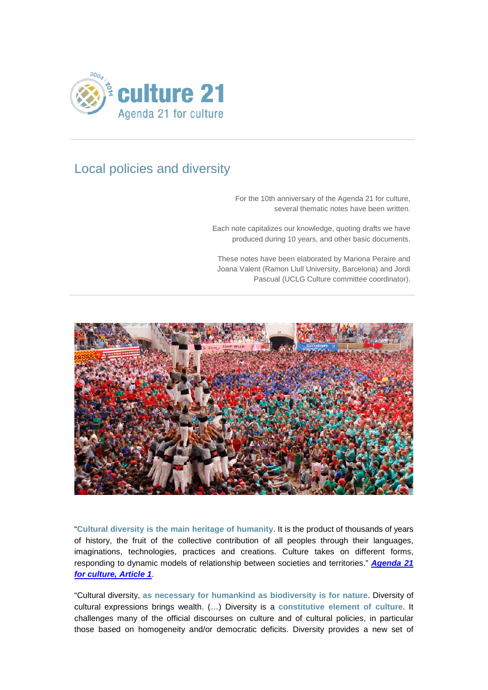

# Local policies and diversity

For the 10th anniversary of the Agenda 21 for culture, several thematic notes have been written.

Each note capitalizes our knowledge, quoting drafts we have produced during 10 years, and other basic documents.

These notes have been elaborated by Mariona Peraire and Joana Valent (Ramon Llull University, Barcelona) and Jordi Pascual (UCLG Culture committee coordinator).



"**Cultural diversity is the main heritage of humanity**. It is the product of thousands of years of history, the fruit of the collective contribution of all peoples through their languages, imaginations, technologies, practices and creations. Culture takes on different forms, responding to dynamic models of relationship between societies and territories." *[Agenda 21](http://www.agenda21culture.net/index.php/documents/agenda-21-for-culture)  for [culture, Article 1](http://www.agenda21culture.net/index.php/documents/agenda-21-for-culture)*.

"Cultural diversity, **as necessary for humankind as biodiversity is for nature**. Diversity of cultural expressions brings wealth. (…) Diversity is a **constitutive element of culture**. It challenges many of the official discourses on culture and of cultural policies, in particular those based on homogeneity and/or democratic deficits. Diversity provides a new set of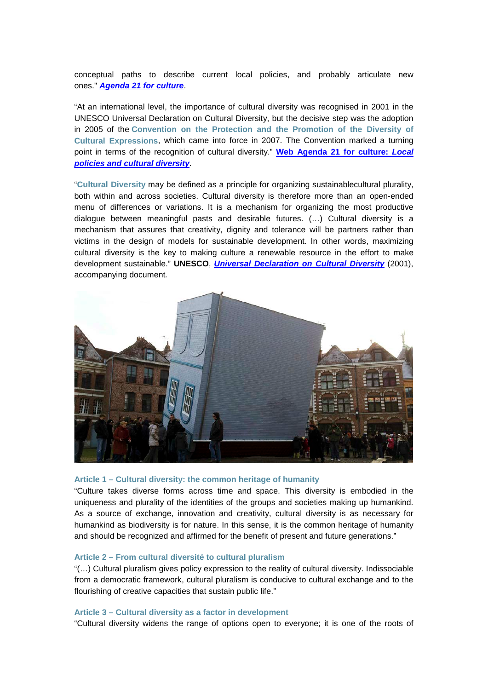conceptual paths to describe current local policies, and probably articulate new ones." *[Agenda 21 for](http://www.agenda21culture.net/index.php/documents/agenda-21-for-culture) culture*.

"At an international level, the importance of cultural diversity was recognised in 2001 in the UNESCO Universal Declaration on Cultural Diversity, but the decisive step was the adoption in 2005 of the **[Convention on the Protection and the Promotion of the Diversity of](http://www.unesco.org/new/en/culture/themes/cultural-diversity/diversity-of-cultural-expressions/the-convention/what-is-the-convention/)  [Cultural Expressions](http://www.unesco.org/new/en/culture/themes/cultural-diversity/diversity-of-cultural-expressions/the-convention/what-is-the-convention/)**, which came into force in 2007. The Convention marked a turning point in terms of the recognition of cultural diversity." **[Web Agenda 21 for](http://www.agenda21culture.net/index.php/16-official-documentation-all/agenda-21-culture-all/435-local-policies-and-cultural-diversity) culture:** *Local policies and cultural [diversity](http://www.agenda21culture.net/index.php/16-official-documentation-all/agenda-21-culture-all/435-local-policies-and-cultural-diversity)*.

"**Cultural Diversity** may be defined as a principle for organizing sustainablecultural plurality, both within and across societies. Cultural diversity is therefore more than an open-ended menu of differences or variations. It is a mechanism for organizing the most productive dialogue between meaningful pasts and desirable futures. (…) Cultural diversity is a mechanism that assures that creativity, dignity and tolerance will be partners rather than victims in the design of models for sustainable development. In other words, maximizing cultural diversity is the key to making culture a renewable resource in the effort to make development sustainable." **UNESCO**, *[Universal Declaration on Cultural Diversity](http://unesdoc.unesco.org/images/0012/001271/127162e.pdf)* (2001), accompanying document*.*



### **Article 1 – Cultural diversity: the common heritage of humanity**

"Culture takes diverse forms across time and space. This diversity is embodied in the uniqueness and plurality of the identities of the groups and societies making up humankind. As a source of exchange, innovation and creativity, cultural diversity is as necessary for humankind as biodiversity is for nature. In this sense, it is the common heritage of humanity and should be recognized and affirmed for the benefit of present and future generations."

# **Article 2 – From cultural diversité to cultural pluralism**

"(…) Cultural pluralism gives policy expression to the reality of cultural diversity. Indissociable from a democratic framework, cultural pluralism is conducive to cultural exchange and to the flourishing of creative capacities that sustain public life."

#### **Article 3 – Cultural diversity as a factor in development**

"Cultural diversity widens the range of options open to everyone; it is one of the roots of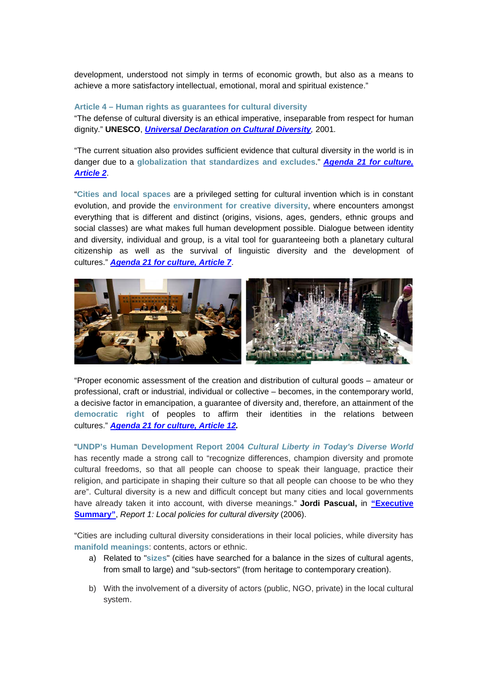development, understood not simply in terms of economic growth, but also as a means to achieve a more satisfactory intellectual, emotional, moral and spiritual existence."

# **Article 4 – Human rights as guarantees for cultural diversity**

"The defense of cultural diversity is an ethical imperative, inseparable from respect for human dignity." **UNESCO**, *[Universal Declaration on Cultural Diversity](http://unesdoc.unesco.org/images/0012/001271/127162e.pdf),* 2001*.*

"The current situation also provides sufficient evidence that cultural diversity in the world is in danger due to a **globalization that standardizes and excludes**." *[Agenda 21 for culture,](http://www.agenda21culture.net/index.php/documents/agenda-21-for-culture)  [Article 2](http://www.agenda21culture.net/index.php/documents/agenda-21-for-culture)*.

"**Cities and local spaces** are a privileged setting for cultural invention which is in constant evolution, and provide the **environment for creative diversity**, where encounters amongst everything that is different and distinct (origins, visions, ages, genders, ethnic groups and social classes) are what makes full human development possible. Dialogue between identity and diversity, individual and group, is a vital tool for guaranteeing both a planetary cultural citizenship as well as the survival of linguistic diversity and the development of cultures." *[Agenda 21 for culture, Article 7](http://www.agenda21culture.net/index.php/documents/agenda-21-for-culture)*.



"Proper economic assessment of the creation and distribution of cultural goods – amateur or professional, craft or industrial, individual or collective – becomes, in the contemporary world, a decisive factor in emancipation, a guarantee of diversity and, therefore, an attainment of the **democratic right** of peoples to affirm their identities in the relations between cultures." *Agenda 21 for [culture, Article 12.](http://www.agenda21culture.net/index.php/documents/agenda-21-for-culture)*

"**UNDP's Human Development Report 2004** *Cultural Liberty in Today's Diverse World* has recently made a strong call to "recognize differences, champion diversity and promote cultural freedoms, so that all people can choose to speak their language, practice their religion, and participate in shaping their culture so that all people can choose to be who they are". Cultural diversity is a new and difficult concept but many cities and local governments have already taken it into account, with diverse meanings." **Jordi Pascual,** in **["Executive](http://www.agenda21culture.net/index.php/46-official-documentation-all/reports-all/369-report-1-local-policies-for-cultural-diversity)  [Summary"](http://www.agenda21culture.net/index.php/46-official-documentation-all/reports-all/369-report-1-local-policies-for-cultural-diversity)**, *Report 1: Local policies for cultural diversity* (2006).

"Cities are including cultural diversity considerations in their local policies, while diversity has **manifold meanings**: contents, actors or ethnic.

- a) Related to "**sizes**" (cities have searched for a balance in the sizes of cultural agents, from small to large) and "sub-sectors" (from heritage to contemporary creation).
- b) With the involvement of a diversity of actors (public, NGO, private) in the local cultural system.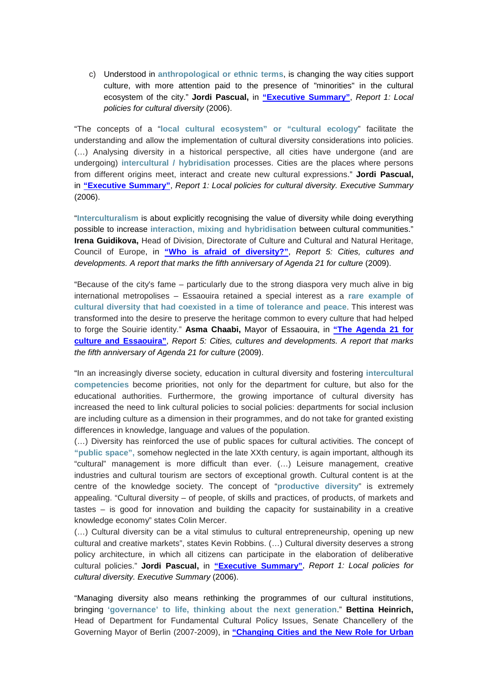c) Understood in **anthropological or ethnic terms**, is changing the way cities support culture, with more attention paid to the presence of "minorities" in the cultural ecosystem of the city." **Jordi Pascual,** in **["Executive Summary"](http://www.agenda21culture.net/index.php/46-official-documentation-all/reports-all/369-report-1-local-policies-for-cultural-diversity)**, *Report 1: Local policies for cultural diversity* (2006).

"The concepts of a "**local cultural ecosystem" or "cultural ecology**" facilitate the understanding and allow the implementation of cultural diversity considerations into policies. (…) Analysing diversity in a historical perspective, all cities have undergone (and are undergoing) **intercultural / hybridisation** processes. Cities are the places where persons from different origins meet, interact and create new cultural expressions." **Jordi Pascual,**  in **["Executive Summary"](http://www.agenda21culture.net/index.php/46-official-documentation-all/reports-all/369-report-1-local-policies-for-cultural-diversity)**, *Report 1: Local policies for cultural diversity. Executive Summary*  (2006).

"**Interculturalism** is about explicitly recognising the value of diversity while doing everything possible to increase **interaction, mixing and hybridisation** between cultural communities." **Irena Guidikova,** Head of Division, Directorate of Culture and Cultural and Natural Heritage, Council of Europe, in **["Who is afraid of diversity?"](http://www.agenda21culture.net/index.php/46-official-documentation-all/reports-all/365-report-5-cities-cultures-and-developments-a-report-that-marks-the-fifth-anniversary-of-agenda-21-for-culture)**, *Report 5: Cities, cultures and developments. A report that marks the fifth anniversary of Agenda 21 for culture* (2009).

"Because of the city's fame – particularly due to the strong diaspora very much alive in big international metropolises – Essaouira retained a special interest as a **rare example of cultural diversity that had coexisted in a time of tolerance and peace**. This interest was transformed into the desire to preserve the heritage common to every culture that had helped to forge the Souirie identity." **Asma Chaabi,** Mayor of Essaouira, in **["The Agenda 21 for](http://www.agenda21culture.net/index.php/46-official-documentation-all/reports-all/365-report-5-cities-cultures-and-developments-a-report-that-marks-the-fifth-anniversary-of-agenda-21-for-culture)  [culture and Essaouira"](http://www.agenda21culture.net/index.php/46-official-documentation-all/reports-all/365-report-5-cities-cultures-and-developments-a-report-that-marks-the-fifth-anniversary-of-agenda-21-for-culture)**, *Report 5: Cities, cultures and developments. A report that marks the fifth anniversary of Agenda 21 for culture* (2009).

"In an increasingly diverse society, education in cultural diversity and fostering **intercultural competencies** become priorities, not only for the department for culture, but also for the educational authorities. Furthermore, the growing importance of cultural diversity has increased the need to link cultural policies to social policies: departments for social inclusion are including culture as a dimension in their programmes, and do not take for granted existing differences in knowledge, language and values of the population.

(…) Diversity has reinforced the use of public spaces for cultural activities. The concept of **"public space",** somehow neglected in the late XXth century, is again important, although its "cultural" management is more difficult than ever. (…) Leisure management, creative industries and cultural tourism are sectors of exceptional growth. Cultural content is at the centre of the knowledge society. The concept of "**productive diversity**" is extremely appealing. "Cultural diversity – of people, of skills and practices, of products, of markets and tastes – is good for innovation and building the capacity for sustainability in a creative knowledge economy" states Colin Mercer.

(…) Cultural diversity can be a vital stimulus to cultural entrepreneurship, opening up new cultural and creative markets", states Kevin Robbins. (…) Cultural diversity deserves a strong policy architecture, in which all citizens can participate in the elaboration of deliberative cultural policies." **Jordi Pascual,** in **["Executive Summary"](http://www.agenda21culture.net/index.php/46-official-documentation-all/reports-all/369-report-1-local-policies-for-cultural-diversity)**, *Report 1: Local policies for cultural diversity. Executive Summary* (2006).

"Managing diversity also means rethinking the programmes of our cultural institutions, bringing **'governance' to life, thinking about the next generation**." **Bettina Heinrich,** Head of Department for Fundamental Cultural Policy Issues, Senate Chancellery of the Governing Mayor of Berlin (2007-2009), in **["Changing Cities and the New Role for Urban](http://www.agenda21culture.net/index.php/46-official-documentation-all/reports-all/365-report-5-cities-cultures-and-developments-a-report-that-marks-the-fifth-anniversary-of-agenda-21-for-culture)**